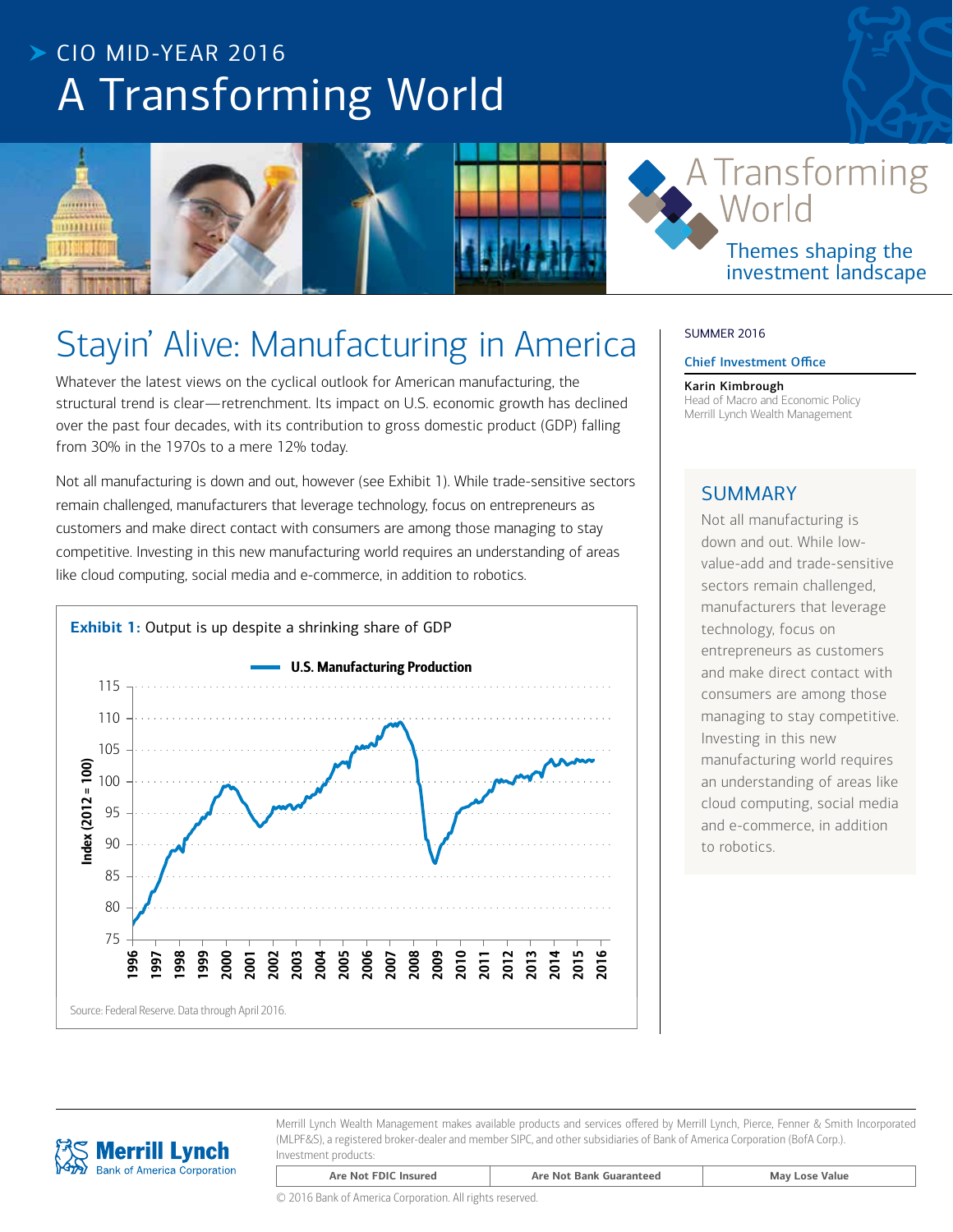# $\triangleright$  CIO MID-YFAR 2016 A Transforming World



# Stayin' Alive: Manufacturing in America

Whatever the latest views on the cyclical outlook for American manufacturing, the structural trend is clear—retrenchment. Its impact on U.S. economic growth has declined over the past four decades, with its contribution to gross domestic product (GDP) falling from 30% in the 1970s to a mere 12% today.

Not all manufacturing is down and out, however (see Exhibit 1). While trade-sensitive sectors remain challenged, manufacturers that leverage technology, focus on entrepreneurs as customers and make direct contact with consumers are among those managing to stay competitive. Investing in this new manufacturing world requires an understanding of areas like cloud computing, social media and e-commerce, in addition to robotics.



# SUMMER 2016

#### Chief Investment Office

Karin Kimbrough Head of Macro and Economic Policy Merrill Lynch Wealth Management

# **SUMMARY**

Not all manufacturing is down and out. While lowvalue-add and trade-sensitive sectors remain challenged, manufacturers that leverage technology, focus on entrepreneurs as customers and make direct contact with consumers are among those managing to stay competitive. Investing in this new manufacturing world requires an understanding of areas like cloud computing, social media and e-commerce, in addition to robotics.



Merrill Lynch Wealth Management makes available products and services offered by Merrill Lynch, Pierce, Fenner & Smith Incorporated (MLPF&S), a registered broker-dealer and member SIPC, and other subsidiaries of Bank of America Corporation (BofA Corp.). Investment products:

| © 2016 Bank of America Corporation. All rights reserved. |  |
|----------------------------------------------------------|--|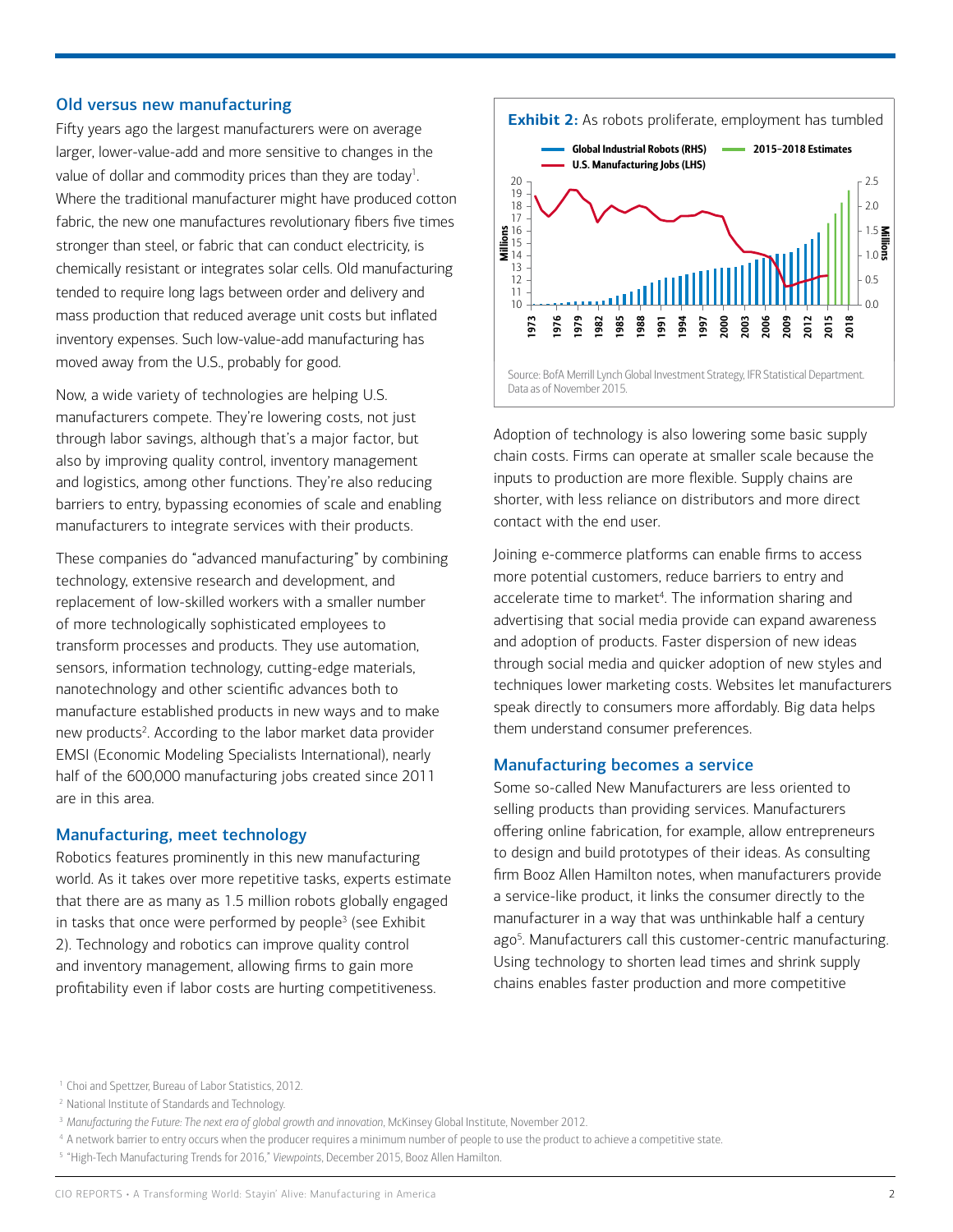# Old versus new manufacturing

Fifty years ago the largest manufacturers were on average larger, lower-value-add and more sensitive to changes in the value of dollar and commodity prices than they are today<sup>1</sup>. Where the traditional manufacturer might have produced cotton fabric, the new one manufactures revolutionary fibers five times stronger than steel, or fabric that can conduct electricity, is chemically resistant or integrates solar cells. Old manufacturing tended to require long lags between order and delivery and mass production that reduced average unit costs but inflated inventory expenses. Such low-value-add manufacturing has moved away from the U.S., probably for good.

Now, a wide variety of technologies are helping U.S. manufacturers compete. They're lowering costs, not just through labor savings, although that's a major factor, but also by improving quality control, inventory management and logistics, among other functions. They're also reducing barriers to entry, bypassing economies of scale and enabling manufacturers to integrate services with their products.

These companies do "advanced manufacturing" by combining technology, extensive research and development, and replacement of low-skilled workers with a smaller number of more technologically sophisticated employees to transform processes and products. They use automation, sensors, information technology, cutting-edge materials, nanotechnology and other scientific advances both to manufacture established products in new ways and to make new products<sup>2</sup>. According to the labor market data provider EMSI (Economic Modeling Specialists International), nearly half of the 600,000 manufacturing jobs created since 2011 are in this area.

#### Manufacturing, meet technology

Robotics features prominently in this new manufacturing world. As it takes over more repetitive tasks, experts estimate that there are as many as 1.5 million robots globally engaged in tasks that once were performed by people $3$  (see Exhibit 2). Technology and robotics can improve quality control and inventory management, allowing firms to gain more profitability even if labor costs are hurting competitiveness.



Adoption of technology is also lowering some basic supply chain costs. Firms can operate at smaller scale because the inputs to production are more flexible. Supply chains are shorter, with less reliance on distributors and more direct contact with the end user.

Joining e-commerce platforms can enable firms to access more potential customers, reduce barriers to entry and accelerate time to market<sup>4</sup>. The information sharing and advertising that social media provide can expand awareness and adoption of products. Faster dispersion of new ideas through social media and quicker adoption of new styles and techniques lower marketing costs. Websites let manufacturers speak directly to consumers more affordably. Big data helps them understand consumer preferences.

# Manufacturing becomes a service

Some so-called New Manufacturers are less oriented to selling products than providing services. Manufacturers offering online fabrication, for example, allow entrepreneurs to design and build prototypes of their ideas. As consulting firm Booz Allen Hamilton notes, when manufacturers provide a service-like product, it links the consumer directly to the manufacturer in a way that was unthinkable half a century ago<sup>5</sup>. Manufacturers call this customer-centric manufacturing. Using technology to shorten lead times and shrink supply chains enables faster production and more competitive

<sup>5</sup> "High-Tech Manufacturing Trends for 2016," *Viewpoints*, December 2015, Booz Allen Hamilton.

<sup>&</sup>lt;sup>1</sup> Choi and Spettzer, Bureau of Labor Statistics, 2012.

<sup>2</sup> National Institute of Standards and Technology.

<sup>&</sup>lt;sup>3</sup> Manufacturing the Future: The next era of global growth and innovation, McKinsey Global Institute, November 2012.

<sup>4</sup> A network barrier to entry occurs when the producer requires a minimum number of people to use the product to achieve a competitive state.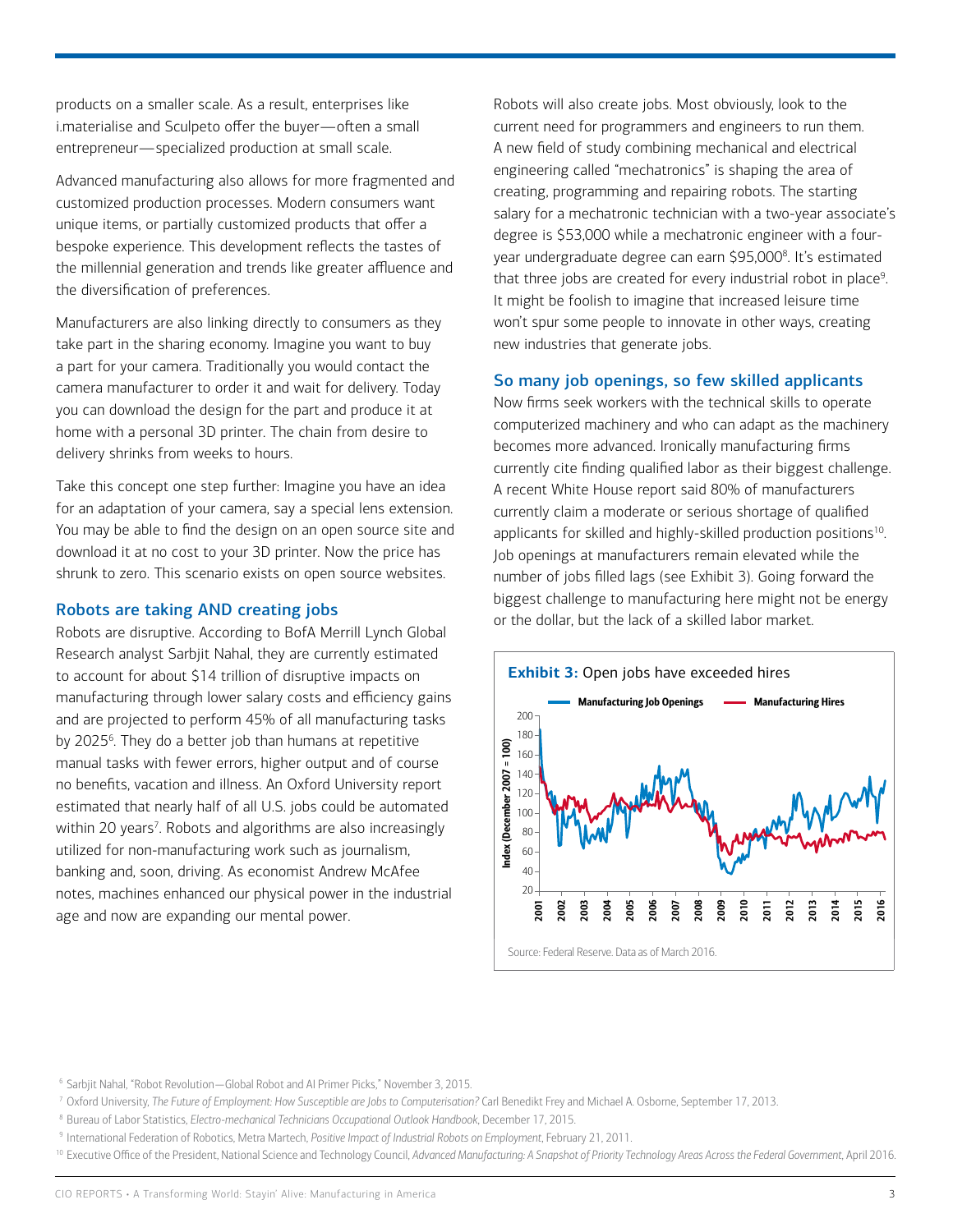products on a smaller scale. As a result, enterprises like i.materialise and Sculpeto offer the buyer—often a small entrepreneur—specialized production at small scale.

Advanced manufacturing also allows for more fragmented and customized production processes. Modern consumers want unique items, or partially customized products that offer a bespoke experience. This development reflects the tastes of the millennial generation and trends like greater affluence and the diversification of preferences.

Manufacturers are also linking directly to consumers as they take part in the sharing economy. Imagine you want to buy a part for your camera. Traditionally you would contact the camera manufacturer to order it and wait for delivery. Today you can download the design for the part and produce it at home with a personal 3D printer. The chain from desire to delivery shrinks from weeks to hours.

Take this concept one step further: Imagine you have an idea for an adaptation of your camera, say a special lens extension. You may be able to find the design on an open source site and download it at no cost to your 3D printer. Now the price has shrunk to zero. This scenario exists on open source websites.

# Robots are taking AND creating jobs

Robots are disruptive. According to BofA Merrill Lynch Global Research analyst Sarbjit Nahal, they are currently estimated to account for about \$14 trillion of disruptive impacts on manufacturing through lower salary costs and efficiency gains and are projected to perform 45% of all manufacturing tasks by 2025<sup>6</sup>. They do a better job than humans at repetitive manual tasks with fewer errors, higher output and of course no benefits, vacation and illness. An Oxford University report estimated that nearly half of all U.S. jobs could be automated within 20 years<sup>7</sup>. Robots and algorithms are also increasingly utilized for non-manufacturing work such as journalism, banking and, soon, driving. As economist Andrew McAfee notes, machines enhanced our physical power in the industrial age and now are expanding our mental power.

Robots will also create jobs. Most obviously, look to the current need for programmers and engineers to run them. A new field of study combining mechanical and electrical engineering called "mechatronics" is shaping the area of creating, programming and repairing robots. The starting salary for a mechatronic technician with a two-year associate's degree is \$53,000 while a mechatronic engineer with a fouryear undergraduate degree can earn \$95,000<sup>8</sup>. It's estimated that three jobs are created for every industrial robot in place<sup>9</sup>. It might be foolish to imagine that increased leisure time won't spur some people to innovate in other ways, creating new industries that generate jobs.

# So many job openings, so few skilled applicants

Now firms seek workers with the technical skills to operate computerized machinery and who can adapt as the machinery becomes more advanced. Ironically manufacturing firms currently cite finding qualified labor as their biggest challenge. A recent White House report said 80% of manufacturers currently claim a moderate or serious shortage of qualified applicants for skilled and highly-skilled production positions<sup>10</sup>. Job openings at manufacturers remain elevated while the number of jobs filled lags (see Exhibit 3). Going forward the biggest challenge to manufacturing here might not be energy or the dollar, but the lack of a skilled labor market.



- <sup>7</sup> Oxford University, *The Future of Employment: How Susceptible are Jobs to Computerisation?* Carl Benedikt Frey and Michael A. Osborne, September 17, 2013.
- <sup>8</sup> Bureau of Labor Statistics, *Electro-mechanical Technicians Occupational Outlook Handbook*, December 17, 2015.
- <sup>9</sup> International Federation of Robotics, Metra Martech, *Positive Impact of Industrial Robots on Employment*, February 21, 2011.

<sup>6</sup> Sarbjit Nahal, "Robot Revolution—Global Robot and AI Primer Picks," November 3, 2015.

<sup>&</sup>lt;sup>10</sup> Executive Office of the President, National Science and Technology Council, Advanced Manufacturing: A Snapshot of Priority Technology Areas Across the Federal Government, April 2016.